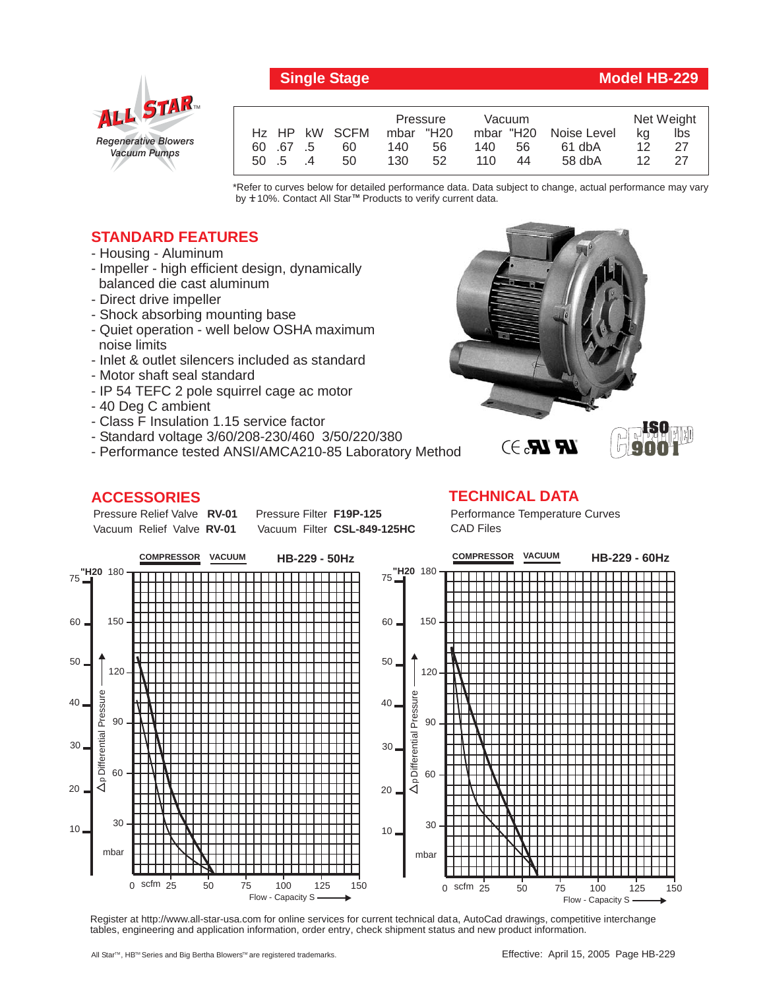

## **Single Stage Model HB-229**

|          |               | Pressure  |    | Vacuum    |    |             | Net Weight |     |
|----------|---------------|-----------|----|-----------|----|-------------|------------|-----|
|          | Hz HP kW SCFM | mbar "H20 |    | mbar "H20 |    | Noise Level | ka         | lbs |
| 60 67 5  | 60            | 140       | 56 | 140       | 56 | 61 dbA      | 12         | -27 |
| 50 .5 .4 | 50            | 130       | 52 | 110.      | 44 | 58 dbA      | 12         | -27 |

\*Refer to curves below for detailed performance data. Data subject to change, actual performance may vary by **+** 10%. Contact All Star™ Products to verify current data.

## **STANDARD FEATURES**

- Housing Aluminum
- Impeller high efficient design, dynamically balanced die cast aluminum
- Direct drive impeller
- Shock absorbing mounting base
- Quiet operation well below OSHA maximum noise limits
- Inlet & outlet silencers included as standard
- Motor shaft seal standard
- IP 54 TEFC 2 pole squirrel cage ac motor
- 40 Deg C ambient
- Class F Insulation 1.15 service factor
- Standard voltage 3/60/208-230/460 3/50/220/380
- Performance tested ANSI/AMCA210-85 Laboratory Method

## **ACCESSORIES**

Pressure Relief Valve RV-01 Vacuum Relief Valve RV-01

**Pressure Filter F19P-125** Vacuum Filter CSL-849-125HC



## **TECHNICAL DATA**

Performance Temperature Curves CAD Files



Register at http://www.all-star-usa.com for online services for current technical data, AutoCad drawings, competitive interchange tables, engineering and application information, order entry, check shipment status and new product information.